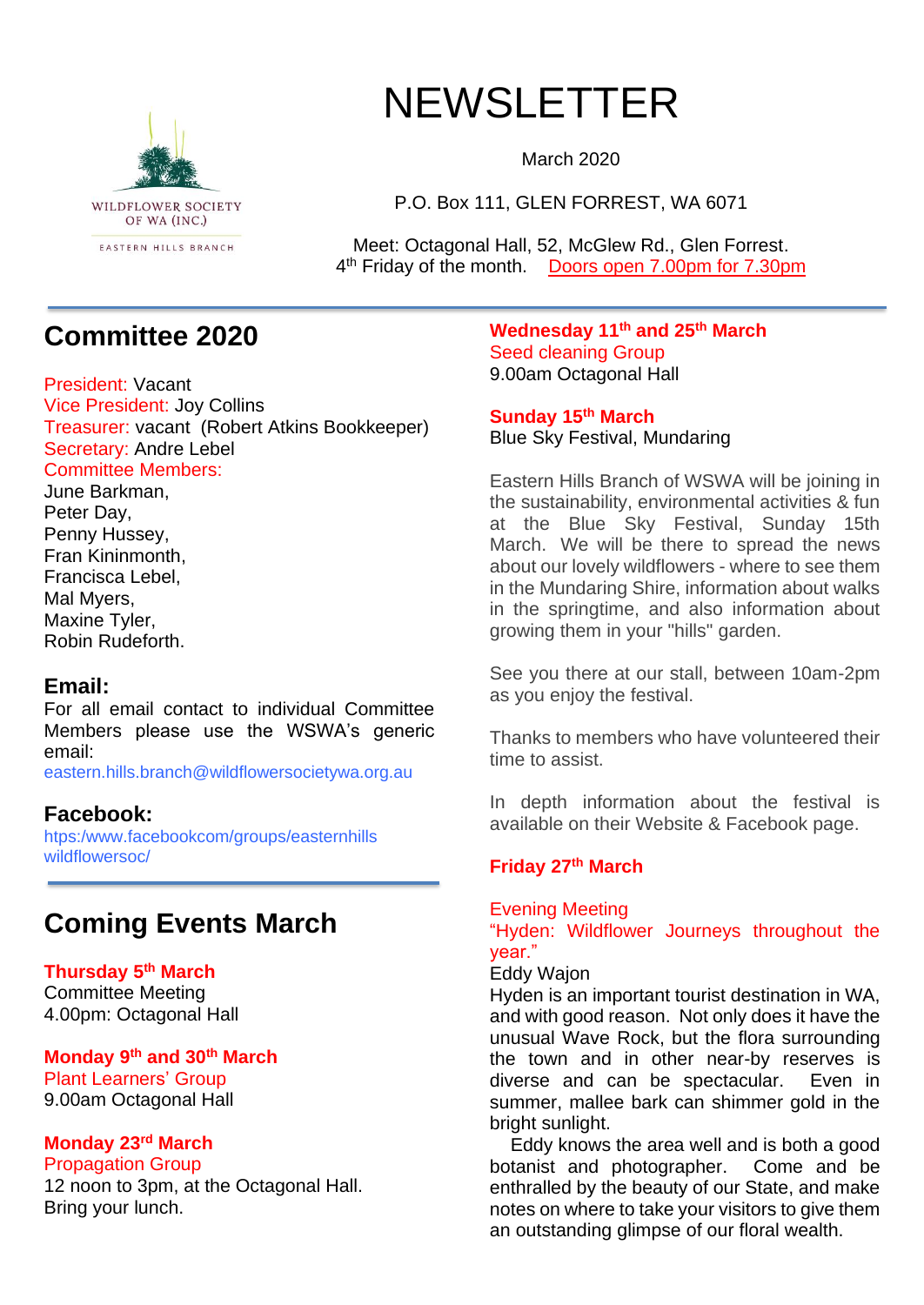

# NEWSLETTER

March 2020

P.O. Box 111, GLEN FORREST, WA 6071

Meet: Octagonal Hall, 52, McGlew Rd., Glen Forrest. 4<sup>th</sup> Friday of the month. Doors open 7.00pm for 7.30pm

### **Committee 2020**

President: Vacant Vice President: Joy Collins Treasurer: vacant (Robert Atkins Bookkeeper) Secretary: Andre Lebel Committee Members:

June Barkman, Peter Day, Penny Hussey, Fran Kininmonth, Francisca Lebel, Mal Myers, Maxine Tyler, Robin Rudeforth.

#### **Email:**

For all email contact to individual Committee Members please use the WSWA's generic email:

eastern.hills.branch@wildflowersocietywa.org.au

#### **Facebook:**

htps:/www.facebookcom/groups/easternhills wildflowersoc/

### **Coming Events March**

**Thursday 5 th March** Committee Meeting 4.00pm: Octagonal Hall

#### **Monday 9th and 30th March**

Plant Learners' Group 9.00am Octagonal Hall

#### **Monday 23rd March**

Propagation Group 12 noon to 3pm, at the Octagonal Hall. Bring your lunch.

**Wednesday 11th and 25th March** Seed cleaning Group 9.00am Octagonal Hall

**Sunday 15th March** Blue Sky Festival, Mundaring

Eastern Hills Branch of WSWA will be joining in the sustainability, environmental activities & fun at the Blue Sky Festival, Sunday 15th March. We will be there to spread the news about our lovely wildflowers - where to see them in the Mundaring Shire, information about walks in the springtime, and also information about growing them in your "hills" garden.

See you there at our stall, between 10am-2pm as you enjoy the festival.

Thanks to members who have volunteered their time to assist.

In depth information about the festival is available on their Website & Facebook page.

#### **Friday 27th March**

#### Evening Meeting

"Hyden: Wildflower Journeys throughout the year."

#### Eddy Wajon

Hyden is an important tourist destination in WA, and with good reason. Not only does it have the unusual Wave Rock, but the flora surrounding the town and in other near-by reserves is diverse and can be spectacular. Even in summer, mallee bark can shimmer gold in the bright sunlight.

 Eddy knows the area well and is both a good botanist and photographer. Come and be enthralled by the beauty of our State, and make notes on where to take your visitors to give them an outstanding glimpse of our floral wealth.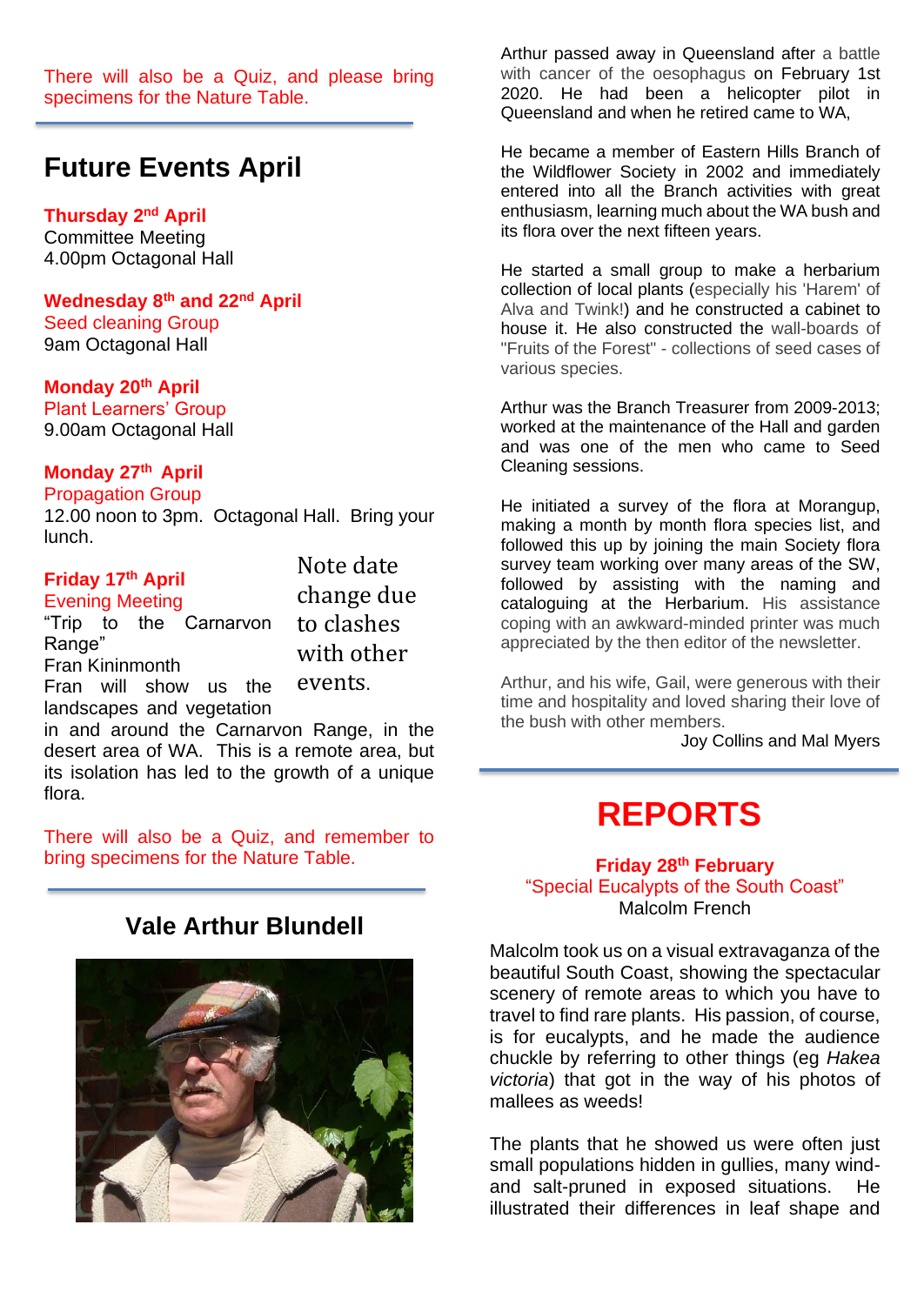There will also be a Quiz, and please bring specimens for the Nature Table.

### **Future Events April**

#### **Thursday 2 nd April**

Committee Meeting 4.00pm Octagonal Hall

**Wednesday 8th and 22nd April** Seed cleaning Group 9am Octagonal Hall

#### **Monday 20th April**

Plant Learners' Group 9.00am Octagonal Hall

#### **Monday 27th April**

#### Propagation Group

12.00 noon to 3pm. Octagonal Hall. Bring your lunch.

#### **Friday 17th April** Evening Meeting

Fran Kininmonth

Range"

"Trip to the Carnarvon

Fran will show us the landscapes and vegetation

Note date change due to clashes with other events.

in and around the Carnarvon Range, in the desert area of WA. This is a remote area, but its isolation has led to the growth of a unique flora.

There will also be a Quiz, and remember to bring specimens for the Nature Table.

### **Vale Arthur Blundell**



Arthur passed away in Queensland after a battle with cancer of the oesophagus on February 1st 2020. He had been a helicopter pilot in Queensland and when he retired came to WA,

He became a member of Eastern Hills Branch of the Wildflower Society in 2002 and immediately entered into all the Branch activities with great enthusiasm, learning much about the WA bush and its flora over the next fifteen years.

He started a small group to make a herbarium collection of local plants (especially his 'Harem' of Alva and Twink!) and he constructed a cabinet to house it. He also constructed the wall-boards of "Fruits of the Forest" - collections of seed cases of various species.

Arthur was the Branch Treasurer from 2009-2013; worked at the maintenance of the Hall and garden and was one of the men who came to Seed Cleaning sessions.

He initiated a survey of the flora at Morangup, making a month by month flora species list, and followed this up by joining the main Society flora survey team working over many areas of the SW, followed by assisting with the naming and cataloguing at the Herbarium. His assistance coping with an awkward-minded printer was much appreciated by the then editor of the newsletter.

Arthur, and his wife, Gail, were generous with their time and hospitality and loved sharing their love of the bush with other members.

Joy Collins and Mal Myers

## **REPORTS**

#### **Friday 28th February** "Special Eucalypts of the South Coast"

Malcolm French

Malcolm took us on a visual extravaganza of the beautiful South Coast, showing the spectacular scenery of remote areas to which you have to travel to find rare plants. His passion, of course, is for eucalypts, and he made the audience chuckle by referring to other things (eg *Hakea victoria*) that got in the way of his photos of mallees as weeds!

The plants that he showed us were often just small populations hidden in gullies, many windand salt-pruned in exposed situations. He illustrated their differences in leaf shape and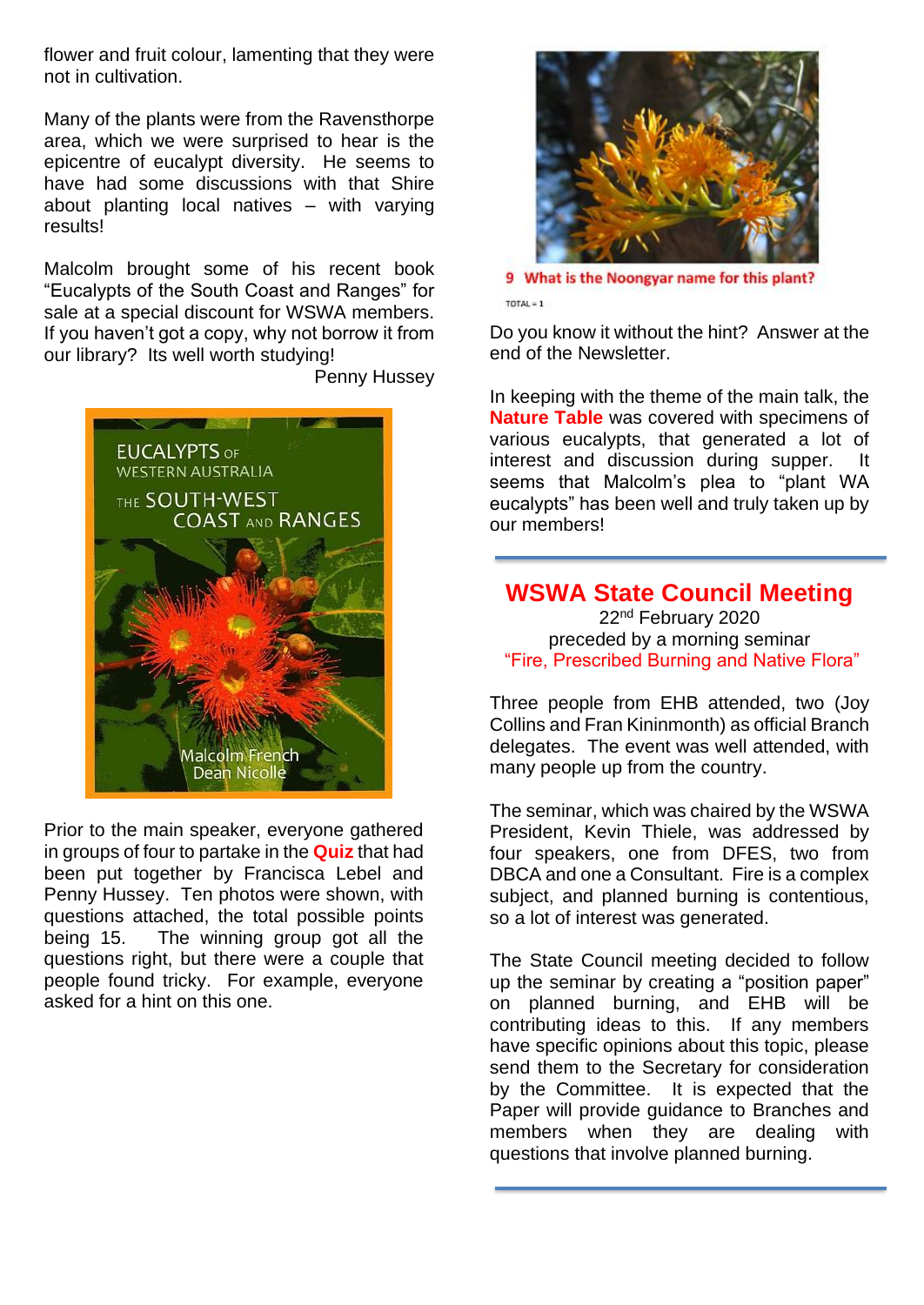flower and fruit colour, lamenting that they were not in cultivation.

Many of the plants were from the Ravensthorpe area, which we were surprised to hear is the epicentre of eucalypt diversity. He seems to have had some discussions with that Shire about planting local natives – with varying results!

Malcolm brought some of his recent book "Eucalypts of the South Coast and Ranges" for sale at a special discount for WSWA members. If you haven't got a copy, why not borrow it from our library? Its well worth studying!

Penny Hussey



Prior to the main speaker, everyone gathered in groups of four to partake in the **Quiz** that had been put together by Francisca Lebel and Penny Hussey. Ten photos were shown, with questions attached, the total possible points being 15. The winning group got all the questions right, but there were a couple that people found tricky. For example, everyone asked for a hint on this one.



9 What is the Noongyar name for this plant?  $TOTAL = 1$ 

Do you know it without the hint? Answer at the end of the Newsletter.

In keeping with the theme of the main talk, the **Nature Table** was covered with specimens of various eucalypts, that generated a lot of interest and discussion during supper. It seems that Malcolm's plea to "plant WA eucalypts" has been well and truly taken up by our members!

#### **WSWA State Council Meeting**

22nd February 2020 preceded by a morning seminar "Fire, Prescribed Burning and Native Flora"

Three people from EHB attended, two (Joy Collins and Fran Kininmonth) as official Branch delegates. The event was well attended, with many people up from the country.

The seminar, which was chaired by the WSWA President, Kevin Thiele, was addressed by four speakers, one from DFES, two from DBCA and one a Consultant. Fire is a complex subject, and planned burning is contentious, so a lot of interest was generated.

The State Council meeting decided to follow up the seminar by creating a "position paper" on planned burning, and EHB will be contributing ideas to this. If any members have specific opinions about this topic, please send them to the Secretary for consideration by the Committee. It is expected that the Paper will provide guidance to Branches and members when they are dealing with questions that involve planned burning.